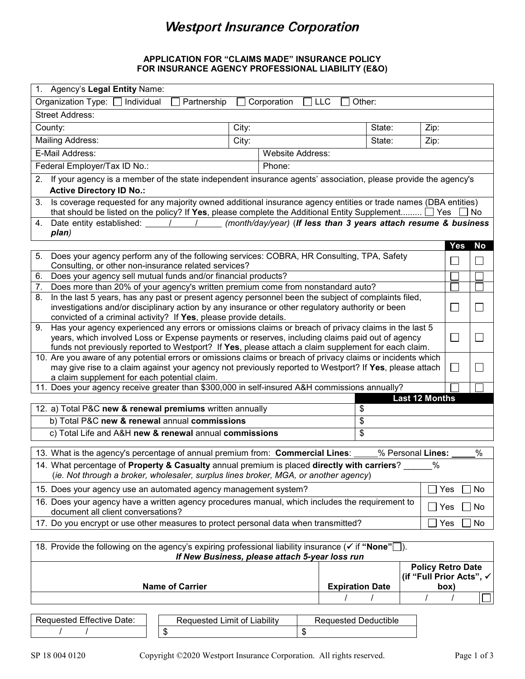# **Westport Insurance Corporation**

## **APPLICATION FOR "CLAIMS MADE" INSURANCE POLICY FOR INSURANCE AGENCY PROFESSIONAL LIABILITY (E&O)**

| 1. Agency's Legal Entity Name:                                                                                                                                                                                                   |                                  |           |  |  |  |  |
|----------------------------------------------------------------------------------------------------------------------------------------------------------------------------------------------------------------------------------|----------------------------------|-----------|--|--|--|--|
| Organization Type: [<br>Individual<br>Partnership<br>Corporation<br><b>LLC</b><br>Other:                                                                                                                                         |                                  |           |  |  |  |  |
| <b>Street Address:</b>                                                                                                                                                                                                           |                                  |           |  |  |  |  |
| County:<br>City:<br>State:<br>Zip:                                                                                                                                                                                               |                                  |           |  |  |  |  |
| <b>Mailing Address:</b><br>City:<br>State:<br>Zip:                                                                                                                                                                               |                                  |           |  |  |  |  |
| E-Mail Address:<br>Website Address:                                                                                                                                                                                              |                                  |           |  |  |  |  |
| Federal Employer/Tax ID No.:<br>Phone:                                                                                                                                                                                           |                                  |           |  |  |  |  |
| If your agency is a member of the state independent insurance agents' association, please provide the agency's<br>2.                                                                                                             |                                  |           |  |  |  |  |
| <b>Active Directory ID No.:</b>                                                                                                                                                                                                  |                                  |           |  |  |  |  |
| Is coverage requested for any majority owned additional insurance agency entities or trade names (DBA entities)<br>3.                                                                                                            |                                  |           |  |  |  |  |
| that should be listed on the policy? If Yes, please complete the Additional Entity Supplement $\Box$ Yes<br>Date entity established: $\angle$ / / $\angle$ (month/day/year) (If less than 3 years attach resume & business<br>4. |                                  | l No      |  |  |  |  |
| plan)                                                                                                                                                                                                                            |                                  |           |  |  |  |  |
|                                                                                                                                                                                                                                  | <b>Yes</b>                       | <b>No</b> |  |  |  |  |
| Does your agency perform any of the following services: COBRA, HR Consulting, TPA, Safety<br>5.                                                                                                                                  |                                  |           |  |  |  |  |
| Consulting, or other non-insurance related services?                                                                                                                                                                             |                                  |           |  |  |  |  |
| Does your agency sell mutual funds and/or financial products?<br>6.<br>Does more than 20% of your agency's written premium come from nonstandard auto?<br>7.                                                                     |                                  |           |  |  |  |  |
| In the last 5 years, has any past or present agency personnel been the subject of complaints filed,<br>8.                                                                                                                        |                                  |           |  |  |  |  |
| investigations and/or disciplinary action by any insurance or other regulatory authority or been                                                                                                                                 | $\Box$                           |           |  |  |  |  |
| convicted of a criminal activity? If Yes, please provide details.                                                                                                                                                                |                                  |           |  |  |  |  |
| 9. Has your agency experienced any errors or omissions claims or breach of privacy claims in the last 5                                                                                                                          |                                  |           |  |  |  |  |
| years, which involved Loss or Expense payments or reserves, including claims paid out of agency<br>funds not previously reported to Westport? If Yes, please attach a claim supplement for each claim.                           | $\Box$                           |           |  |  |  |  |
| 10. Are you aware of any potential errors or omissions claims or breach of privacy claims or incidents which                                                                                                                     |                                  |           |  |  |  |  |
| may give rise to a claim against your agency not previously reported to Westport? If Yes, please attach<br>$\Box$                                                                                                                |                                  |           |  |  |  |  |
| a claim supplement for each potential claim.                                                                                                                                                                                     |                                  |           |  |  |  |  |
| 11. Does your agency receive greater than \$300,000 in self-insured A&H commissions annually?<br><b>Last 12 Months</b>                                                                                                           |                                  |           |  |  |  |  |
| 12. a) Total P&C new & renewal premiums written annually<br>\$                                                                                                                                                                   |                                  |           |  |  |  |  |
| b) Total P&C new & renewal annual commissions<br>\$                                                                                                                                                                              |                                  |           |  |  |  |  |
| c) Total Life and A&H new & renewal annual commissions<br>\$                                                                                                                                                                     |                                  |           |  |  |  |  |
|                                                                                                                                                                                                                                  |                                  |           |  |  |  |  |
| % Personal Lines:<br>13. What is the agency's percentage of annual premium from: Commercial Lines:                                                                                                                               |                                  | $\%$      |  |  |  |  |
| 14. What percentage of Property & Casualty annual premium is placed directly with carriers?<br>$\%$<br>(ie. Not through a broker, wholesaler, surplus lines broker, MGA, or another agency)                                      |                                  |           |  |  |  |  |
| 15. Does your agency use an automated agency management system?<br>Yes                                                                                                                                                           |                                  |           |  |  |  |  |
| 16. Does your agency have a written agency procedures manual, which includes the requirement to<br>Yes<br>document all client conversations?                                                                                     |                                  |           |  |  |  |  |
| 17. Do you encrypt or use other measures to protect personal data when transmitted?<br>Yes                                                                                                                                       |                                  |           |  |  |  |  |
| No                                                                                                                                                                                                                               |                                  |           |  |  |  |  |
| 18. Provide the following on the agency's expiring professional liability insurance ( $\checkmark$ if "None" $\square$ ).<br>If New Business, please attach 5-year loss run                                                      |                                  |           |  |  |  |  |
| <b>Policy Retro Date</b>                                                                                                                                                                                                         |                                  |           |  |  |  |  |
|                                                                                                                                                                                                                                  | (if "Full Prior Acts", √<br>box) |           |  |  |  |  |
| <b>Name of Carrier</b><br><b>Expiration Date</b>                                                                                                                                                                                 |                                  |           |  |  |  |  |
|                                                                                                                                                                                                                                  |                                  |           |  |  |  |  |

| Requested Effective Date: |
|---------------------------|
|                           |

Requested Limit of Liability | Requested Deductible  $\sim$  \$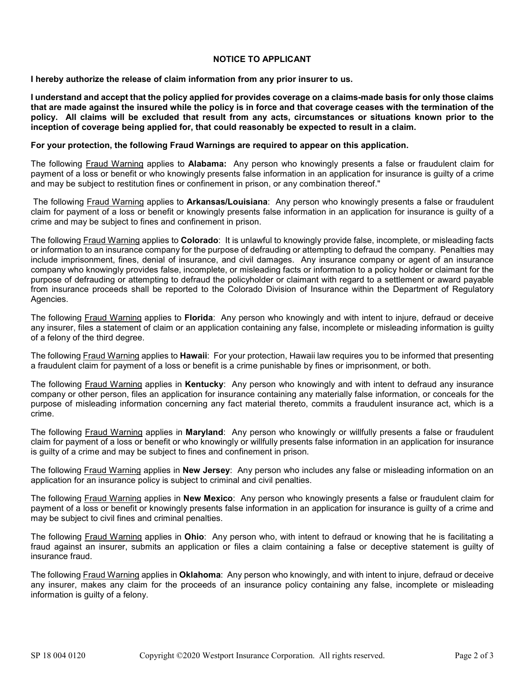## **NOTICE TO APPLICANT**

**I hereby authorize the release of claim information from any prior insurer to us.** 

**I understand and accept that the policy applied for provides coverage on a claims-made basis for only those claims that are made against the insured while the policy is in force and that coverage ceases with the termination of the policy. All claims will be excluded that result from any acts, circumstances or situations known prior to the inception of coverage being applied for, that could reasonably be expected to result in a claim.** 

#### **For your protection, the following Fraud Warnings are required to appear on this application.**

The following Fraud Warning applies to **Alabama:** Any person who knowingly presents a false or fraudulent claim for payment of a loss or benefit or who knowingly presents false information in an application for insurance is guilty of a crime and may be subject to restitution fines or confinement in prison, or any combination thereof."

The following Fraud Warning applies to **Arkansas/Louisiana**: Any person who knowingly presents a false or fraudulent claim for payment of a loss or benefit or knowingly presents false information in an application for insurance is guilty of a crime and may be subject to fines and confinement in prison.

The following Fraud Warning applies to **Colorado**: It is unlawful to knowingly provide false, incomplete, or misleading facts or information to an insurance company for the purpose of defrauding or attempting to defraud the company. Penalties may include imprisonment, fines, denial of insurance, and civil damages. Any insurance company or agent of an insurance company who knowingly provides false, incomplete, or misleading facts or information to a policy holder or claimant for the purpose of defrauding or attempting to defraud the policyholder or claimant with regard to a settlement or award payable from insurance proceeds shall be reported to the Colorado Division of Insurance within the Department of Regulatory Agencies.

The following Fraud Warning applies to **Florida**: Any person who knowingly and with intent to injure, defraud or deceive any insurer, files a statement of claim or an application containing any false, incomplete or misleading information is guilty of a felony of the third degree.

The following Fraud Warning applies to **Hawaii**: For your protection, Hawaii law requires you to be informed that presenting a fraudulent claim for payment of a loss or benefit is a crime punishable by fines or imprisonment, or both.

The following Fraud Warning applies in **Kentucky**: Any person who knowingly and with intent to defraud any insurance company or other person, files an application for insurance containing any materially false information, or conceals for the purpose of misleading information concerning any fact material thereto, commits a fraudulent insurance act, which is a crime.

The following Fraud Warning applies in **Maryland**: Any person who knowingly or willfully presents a false or fraudulent claim for payment of a loss or benefit or who knowingly or willfully presents false information in an application for insurance is guilty of a crime and may be subject to fines and confinement in prison.

The following Fraud Warning applies in **New Jersey**: Any person who includes any false or misleading information on an application for an insurance policy is subject to criminal and civil penalties.

The following Fraud Warning applies in **New Mexico**: Any person who knowingly presents a false or fraudulent claim for payment of a loss or benefit or knowingly presents false information in an application for insurance is guilty of a crime and may be subject to civil fines and criminal penalties.

The following Fraud Warning applies in **Ohio**: Any person who, with intent to defraud or knowing that he is facilitating a fraud against an insurer, submits an application or files a claim containing a false or deceptive statement is guilty of insurance fraud.

The following Fraud Warning applies in **Oklahoma**: Any person who knowingly, and with intent to injure, defraud or deceive any insurer, makes any claim for the proceeds of an insurance policy containing any false, incomplete or misleading information is guilty of a felony.